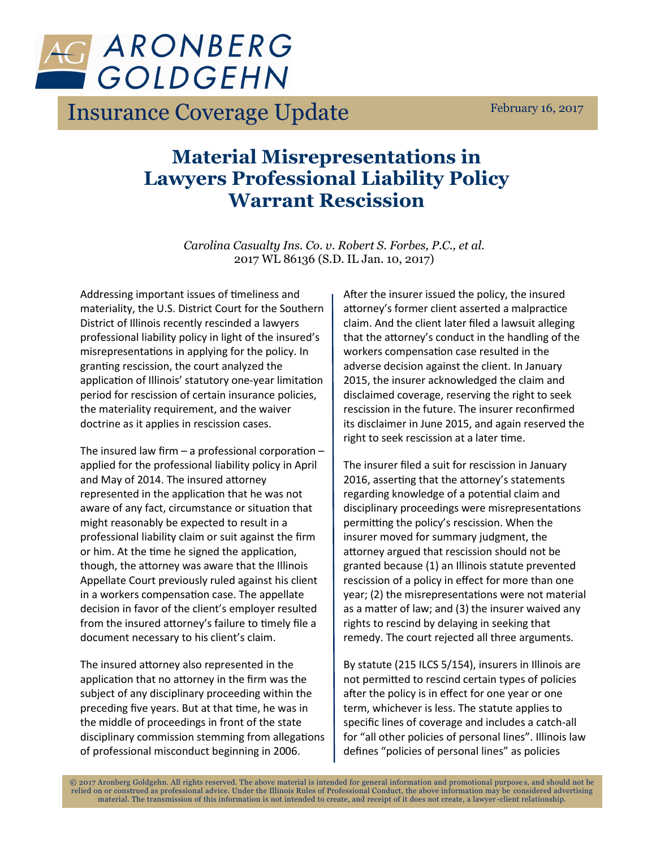

Insurance Coverage Update February 16, 2017

## **Material Misrepresentations in Lawyers Professional Liability Policy Warrant Rescission**

*Carolina Casualty Ins. Co. v. Robert S. Forbes, P.C., et al.* 2017 WL 86136 (S.D. IL Jan. 10, 2017)

Addressing important issues of timeliness and materiality, the U.S. District Court for the Southern District of Illinois recently rescinded a lawyers professional liability policy in light of the insured's misrepresentations in applying for the policy. In granting rescission, the court analyzed the application of Illinois' statutory one-year limitation period for rescission of certain insurance policies, the materiality requirement, and the waiver doctrine as it applies in rescission cases.

The insured law firm – a professional corporation – applied for the professional liability policy in April and May of 2014. The insured attorney represented in the application that he was not aware of any fact, circumstance or situation that might reasonably be expected to result in a professional liability claim or suit against the firm or him. At the time he signed the application, though, the attorney was aware that the Illinois Appellate Court previously ruled against his client in a workers compensation case. The appellate decision in favor of the client's employer resulted from the insured attorney's failure to timely file a document necessary to his client's claim.

The insured attorney also represented in the application that no attorney in the firm was the subject of any disciplinary proceeding within the preceding five years. But at that time, he was in the middle of proceedings in front of the state disciplinary commission stemming from allegations of professional misconduct beginning in 2006.

After the insurer issued the policy, the insured attorney's former client asserted a malpractice claim. And the client later filed a lawsuit alleging that the attorney's conduct in the handling of the workers compensation case resulted in the adverse decision against the client. In January 2015, the insurer acknowledged the claim and disclaimed coverage, reserving the right to seek rescission in the future. The insurer reconfirmed its disclaimer in June 2015, and again reserved the right to seek rescission at a later time.

The insurer filed a suit for rescission in January 2016, asserting that the attorney's statements regarding knowledge of a potential claim and disciplinary proceedings were misrepresentations permitting the policy's rescission. When the insurer moved for summary judgment, the attorney argued that rescission should not be granted because (1) an Illinois statute prevented rescission of a policy in effect for more than one year; (2) the misrepresentations were not material as a matter of law; and (3) the insurer waived any rights to rescind by delaying in seeking that remedy. The court rejected all three arguments.

By statute (215 ILCS 5/154), insurers in Illinois are not permitted to rescind certain types of policies after the policy is in effect for one year or one term, whichever is less. The statute applies to specific lines of coverage and includes a catch-all for "all other policies of personal lines". Illinois law defines "policies of personal lines" as policies

© 2017 Aronberg Goldgehn. All rights reserved. The above material is intended for general information and promotional purpose s, and should not be relied on or construed as professional advice. Under the Illinois Rules of Professional Conduct, the above information may be considered advertising material. The transmission of this information is not intended to create, and receipt of it does not create, a lawyer -client relationship.